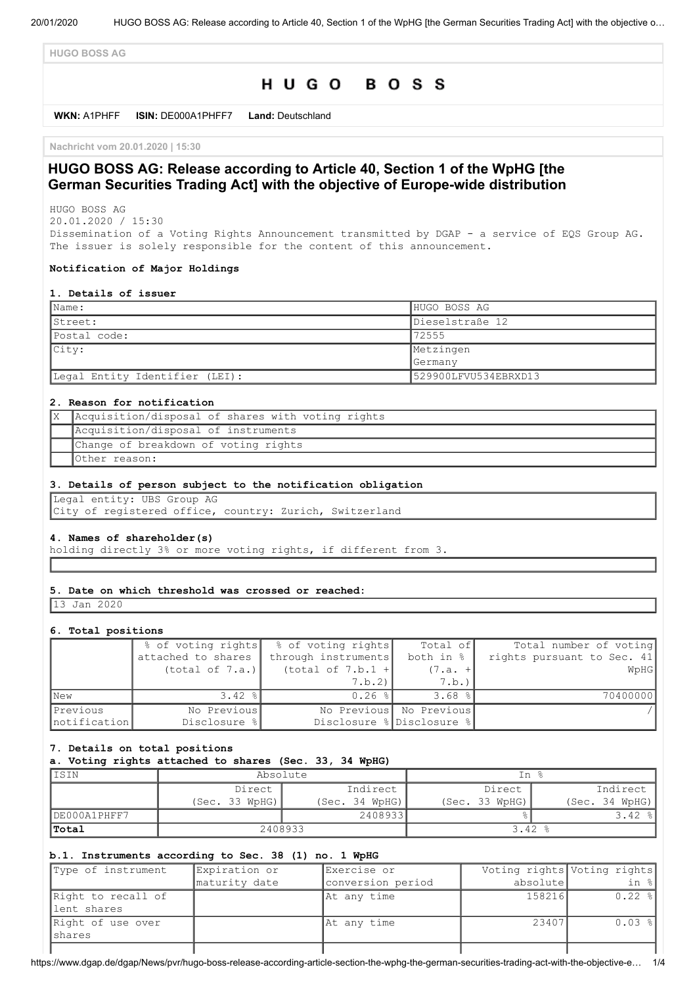**HUGO BOSS AG**

# HUGO BOSS

**WKN:** A1PHFF **ISIN:** DE000A1PHFF7 **Land:** Deutschland

**Nachricht vom 20.01.2020 | 15:30**

## **HUGO BOSS AG: Release according to Article 40, Section 1 of the WpHG [the German Securities Trading Act] with the objective of Europe-wide distribution**

HUGO BOSS AG 20.01.2020 / 15:30

Dissemination of a Voting Rights Announcement transmitted by DGAP - a service of EQS Group AG. The issuer is solely responsible for the content of this announcement.

#### **Notification of Major Holdings**

#### **1. Details of issuer**

| Name:                          | HUGO BOSS AG         |
|--------------------------------|----------------------|
| IStreet:                       | Dieselstraße 12      |
| Postal code:                   | 72555                |
| City:                          | Metzingen            |
|                                | Germany              |
| Legal Entity Identifier (LEI): | 529900LFVU534EBRXD13 |

#### **2. Reason for notification**

| Acquisition/disposal of shares with voting rights |
|---------------------------------------------------|
| Acquisition/disposal of instruments               |
| Change of breakdown of voting rights              |
| Other reason:                                     |

#### **3. Details of person subject to the notification obligation**

Legal entity: UBS Group AG City of registered office, country: Zurich, Switzerland

#### **4. Names of shareholder(s)**

holding directly 3% or more voting rights, if different from 3.

#### **5. Date on which threshold was crossed or reached:**

13 Jan 2020

#### **6. Total positions**

|               | % of voting rights | % of voting rights  | Total of                  | Total number of voting     |
|---------------|--------------------|---------------------|---------------------------|----------------------------|
|               | attached to shares | through instruments | both in $\frac{1}{6}$     | rights pursuant to Sec. 41 |
|               | (total of 7.a.)    | (total of 7.b.1 +   | $(7.a. +$                 | WpHG                       |
|               |                    | 7.b.2)              | 7.b.)                     |                            |
| <b>New</b>    | $3.42$ %           | $0.26$ %            | $3.68$ %                  | 70400000                   |
| Previous      | No Previous        |                     | No Previous No Previous   |                            |
| Inotification | Disclosure %       |                     | Disclosure % Disclosure % |                            |

#### **7. Details on total positions**

#### **a. Voting rights attached to shares (Sec. 33, 34 WpHG)**

| IISIN        | Absolute       |                | In 응           |                |
|--------------|----------------|----------------|----------------|----------------|
|              | Direct         | Indirect       | Direct         | Indirect       |
|              | (Sec. 33 WPHG) | (Sec. 34 WPHG) | (Sec. 33 WpHG) | (Sec. 34 WpHG) |
| DE000A1PHFF7 |                | 2408933        |                | $3.42$ $ 8 $   |
| 'Total       | 2408933        |                | 3.42           |                |

#### **b.1. Instruments according to Sec. 38 (1) no. 1 WpHG**

| Type of instrument                | Expiration or | Exercise or       |          | Voting rights Voting rights |
|-----------------------------------|---------------|-------------------|----------|-----------------------------|
|                                   | maturity date | conversion period | absolute | in %                        |
| Right to recall of<br>lent shares |               | At any time       | 158216   | $0.22$ $\frac{8}{1}$        |
| Right of use over<br>Ishares      |               | At any time       | 23407    | $0.03$ %                    |
|                                   |               |                   |          |                             |

https://www.dgap.de/dgap/News/pvr/hugo-boss-release-according-article-section-the-wphg-the-german-securities-trading-act-with-the-objective-e… 1/4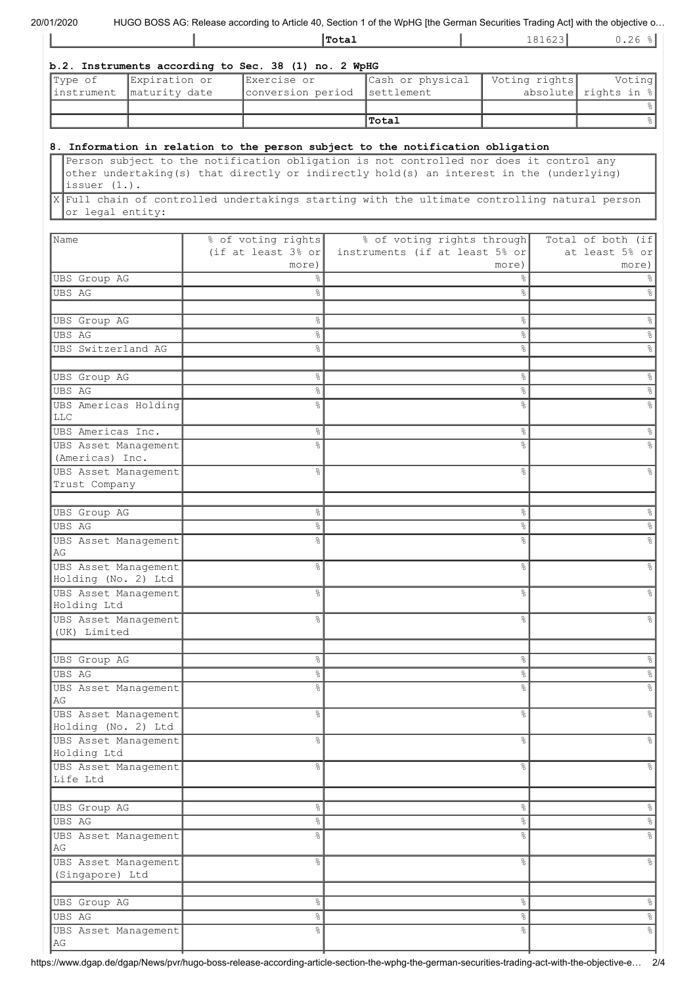| 20/01/2020 |  |
|------------|--|
|------------|--|

HUGO BOSS AG: Release according to Article 40, Section 1 of the WpHG [the German Securities Trading Act] with the objective o...

| <b>Total</b> | $\overline{\phantom{0}}$ | r<br>$\cdot$ . $\sim$ $\circ$ |
|--------------|--------------------------|-------------------------------|
|              |                          |                               |

|                                                   | b.2. Instruments according to Sec. 38 (1) no. 2 WpHG |                  |               |                                   |
|---------------------------------------------------|------------------------------------------------------|------------------|---------------|-----------------------------------|
| Type of Expiration or<br>instrument maturity date | Exercise or<br>conversion period settlement          | Cash or physical | Voting rights | Voting<br>absolute rights in $\ $ |
|                                                   |                                                      |                  |               |                                   |
|                                                   |                                                      | Total            |               |                                   |

### **8. Information in relation to the person subject to the notification obligation**

Person subject to the notification obligation is not controlled nor does it control any other undertaking(s) that directly or indirectly hold(s) an interest in the (underlying) issuer (1.).

X Full chain of controlled undertakings starting with the ultimate controlling natural person or legal entity:

| Name                       | % of voting rights             | % of voting rights through     | Total of both (if    |
|----------------------------|--------------------------------|--------------------------------|----------------------|
|                            | (if at least $3\frac{6}{5}$ or | instruments (if at least 5% or | at least 5% or       |
|                            | more)                          | more)                          | more)                |
| UBS Group AG               | 옹                              | &                              |                      |
| UBS AG                     | o <sub>o</sub>                 | $\%$                           | g                    |
|                            |                                |                                |                      |
| UBS Group AG               | $\%$                           | $\%$                           | နွ                   |
| <b>UBS AG</b>              | 옹                              | $\%$                           | $\%$                 |
| UBS Switzerland AG         | o <sub>o</sub>                 | $\%$                           | &                    |
|                            |                                |                                |                      |
|                            |                                |                                |                      |
| UBS Group AG               | 옹                              | $\%$                           | &                    |
| <b>UBS AG</b>              | $\%$                           | $\%$                           | %                    |
| UBS Americas Holding       | o <sub>o</sub>                 | °                              |                      |
| LLC                        |                                |                                |                      |
| UBS Americas Inc.          | °                              | &                              | န္                   |
| UBS Asset Management       | ٩,                             | °                              |                      |
| (Americas) Inc.            |                                |                                |                      |
| UBS Asset Management       | 옹                              | နွ                             |                      |
| Trust Company              |                                |                                |                      |
|                            |                                |                                |                      |
| UBS Group AG               | 옹                              | $\%$                           |                      |
| UBS AG                     | 옹                              | $\%$                           | ℅                    |
| UBS Asset Management       | o <sub>o</sub>                 | °                              |                      |
| AG                         |                                |                                |                      |
| UBS Asset Management       | 옹                              | $\%$                           |                      |
| Holding (No. 2) Ltd        |                                |                                |                      |
| UBS Asset Management       | 옹                              | °                              |                      |
| Holding Ltd                |                                |                                |                      |
| UBS Asset Management       | ⊱                              | နွ                             |                      |
| (UK) Limited               |                                |                                |                      |
|                            |                                |                                |                      |
| UBS Group AG               | 옹                              | $\%$                           | ℅                    |
| UBS AG                     | 옹                              | $\%$                           | &                    |
|                            | 옹                              | o6                             |                      |
| UBS Asset Management<br>AG |                                |                                |                      |
| UBS Asset Management       | o <sub>o</sub>                 | $\%$                           |                      |
| Holding (No. 2) Ltd        |                                |                                |                      |
| UBS Asset Management       | 옹                              | နွ                             |                      |
| Holding Ltd                |                                |                                |                      |
| UBS Asset Management       | 옹                              | နွ                             | 옹                    |
| Life Ltd                   |                                |                                |                      |
|                            |                                |                                |                      |
|                            |                                |                                |                      |
| UBS Group AG               | °                              | $\%$                           | %                    |
| UBS AG                     | o,                             | $\%$                           | $\frac{1}{\sqrt{2}}$ |
| UBS Asset Management       | o.                             | $\%$                           | $\%$                 |
| AG                         |                                |                                |                      |
| UBS Asset Management       | $\frac{6}{6}$                  | $\%$                           | $\%$                 |
| (Singapore) Ltd            |                                |                                |                      |
|                            |                                |                                |                      |
| <b>UBS</b> Group AG        | °                              | $\%$                           | %                    |
| <b>UBS AG</b>              | °                              | $\%$                           | $\%$                 |
| UBS Asset Management       | °                              | °                              | $\frac{6}{6}$        |
| AG                         |                                |                                |                      |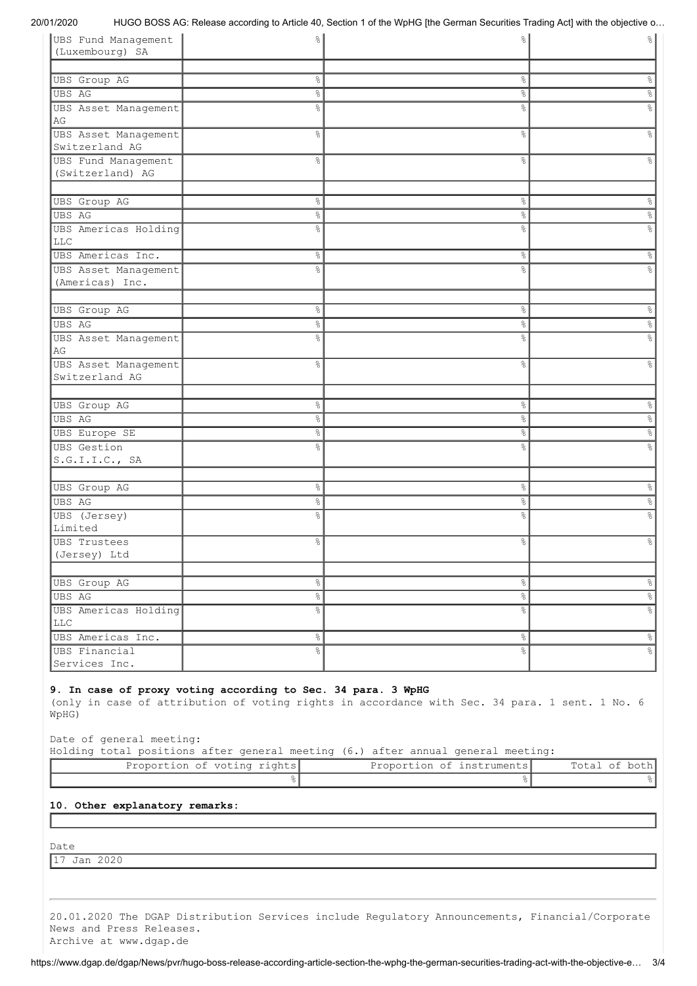20/01/2020 HUGO BOSS AG: Release according to Article 40, Section 1 of the WpHG [the German Securities Trading Act] with the objective o…

| UBS Fund Management  | $\frac{6}{6}$  | နွ                   | 응                    |
|----------------------|----------------|----------------------|----------------------|
| (Luxembourg) SA      |                |                      |                      |
|                      |                |                      |                      |
| UBS Group AG         | $\%$           | $\%$                 | &                    |
| <b>UBS AG</b>        | 옹              | $\%$                 | $\%$                 |
| UBS Asset Management | g.             | $\frac{6}{6}$        | g                    |
| AG                   |                |                      |                      |
| UBS Asset Management | g.             | &                    | g                    |
| Switzerland AG       |                |                      |                      |
| UBS Fund Management  | $\frac{6}{6}$  | $\frac{6}{6}$        | 응                    |
| (Switzerland) AG     |                |                      |                      |
|                      |                |                      |                      |
| UBS Group AG         | $\%$           | $\%$                 | %                    |
| UBS AG               | $\%$           | $\%$                 | $\%$                 |
| UBS Americas Holding | o <sub>o</sub> | o <sub>o</sub>       | 응                    |
| <b>LLC</b>           |                |                      |                      |
| UBS Americas Inc.    | &              | $\%$                 | %                    |
| UBS Asset Management | o <sub>o</sub> | o <sub>o</sub>       | g                    |
| (Americas) Inc.      |                |                      |                      |
|                      |                |                      |                      |
| UBS Group AG         | $\%$           | &                    | &                    |
| UBS AG               | $\%$           | $\%$                 | °                    |
| UBS Asset Management | o <sub>o</sub> | $\%$                 | 응                    |
| AG                   |                |                      |                      |
| UBS Asset Management | $\frac{6}{6}$  | &                    | &                    |
| Switzerland AG       |                |                      |                      |
|                      |                |                      |                      |
| <b>UBS</b> Group AG  | $\%$           | $\%$                 | $\%$                 |
| <b>UBS AG</b>        | 옹              | $\%$                 | $\frac{1}{\sqrt{2}}$ |
| UBS Europe SE        | $\%$           | $\%$                 | $\frac{1}{\sqrt{2}}$ |
| <b>UBS</b> Gestion   | o <sub>o</sub> | &                    | e<br>8               |
| S.G.I.I.C., SA       |                |                      |                      |
|                      |                |                      |                      |
| <b>UBS</b> Group AG  | &              | $\%$                 | &                    |
| <b>UBS AG</b>        | $\%$           | $\%$                 | $\frac{1}{\sqrt{2}}$ |
| UBS (Jersey)         | g.             | $\frac{6}{6}$        | 응                    |
| Limited              |                |                      |                      |
| <b>UBS Trustees</b>  | &              | $\frac{8}{6}$        | &                    |
| (Jersey) Ltd         |                |                      |                      |
|                      |                |                      |                      |
| <b>UBS Group AG</b>  | $\frac{6}{6}$  | $\frac{6}{6}$        | $\infty$             |
| <b>UBS AG</b>        | $\%$           | $\frac{1}{\sqrt{2}}$ | $\frac{1}{\sqrt{2}}$ |
| UBS Americas Holding | &              | $\%$                 | $\frac{1}{\sqrt{2}}$ |
| LLC                  |                |                      |                      |
| UBS Americas Inc.    | $\frac{8}{6}$  | $\frac{8}{6}$        | $\frac{1}{6}$        |
| UBS Financial        | $\frac{8}{6}$  | $\frac{1}{6}$        | $^{\circ}$           |
| Services Inc.        |                |                      |                      |

#### **9. In case of proxy voting according to Sec. 34 para. 3 WpHG**

(only in case of attribution of voting rights in accordance with Sec. 34 para. 1 sent. 1 No. 6 WpHG)

Date of general meeting:

Holding total positions after general meeting (6.) after annual general meeting:

| Proportion of voting rights! | Proportion of instruments! |  |
|------------------------------|----------------------------|--|
|                              |                            |  |

### **10. Other explanatory remarks:**

Date

17 Jan 2020

20.01.2020 The DGAP Distribution Services include Regulatory Announcements, Financial/Corporate News and Press Releases. Archive at www.dgap.de